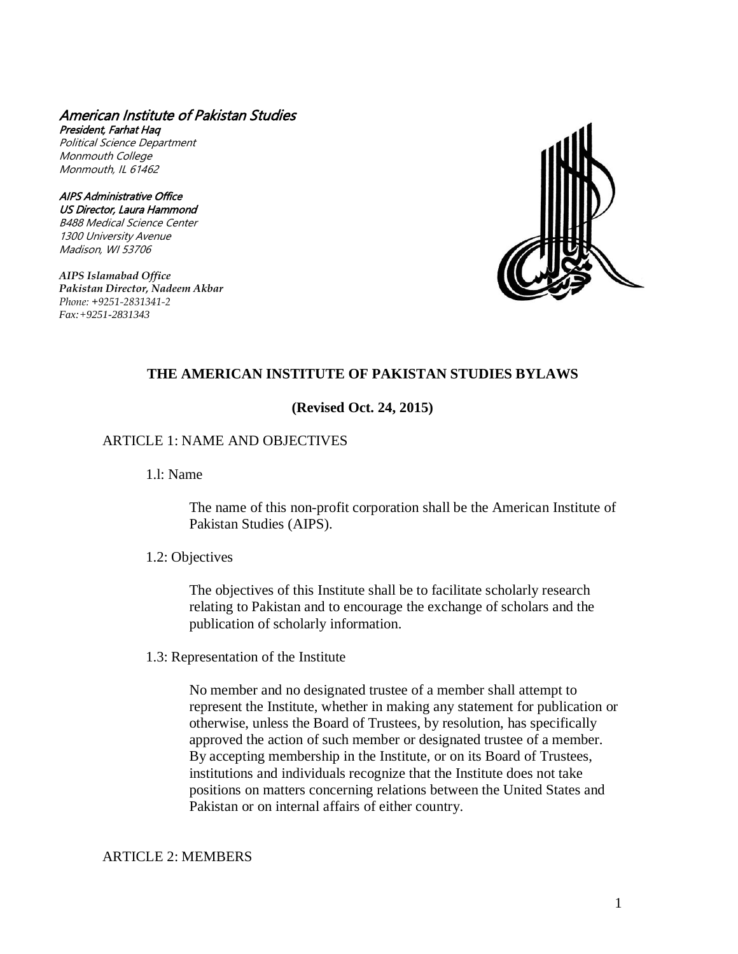#### American Institute of Pakistan Studies President, Farhat Haq

Political Science Department Monmouth College Monmouth, IL 61462

AIPS Administrative Office US Director, Laura Hammond B488 Medical Science Center 1300 University Avenue Madison, WI 53706

*AIPS Islamabad Office Pakistan Director, Nadeem Akbar Phone: +9251-2831341-2 Fax:+9251-2831343*



# **THE AMERICAN INSTITUTE OF PAKISTAN STUDIES BYLAWS**

## **(Revised Oct. 24, 2015)**

## ARTICLE 1: NAME AND OBJECTIVES

1.l: Name

The name of this non-profit corporation shall be the American Institute of Pakistan Studies (AIPS).

### 1.2: Objectives

The objectives of this Institute shall be to facilitate scholarly research relating to Pakistan and to encourage the exchange of scholars and the publication of scholarly information.

1.3: Representation of the Institute

No member and no designated trustee of a member shall attempt to represent the Institute, whether in making any statement for publication or otherwise, unless the Board of Trustees, by resolution, has specifically approved the action of such member or designated trustee of a member. By accepting membership in the Institute, or on its Board of Trustees, institutions and individuals recognize that the Institute does not take positions on matters concerning relations between the United States and Pakistan or on internal affairs of either country.

## ARTICLE 2: MEMBERS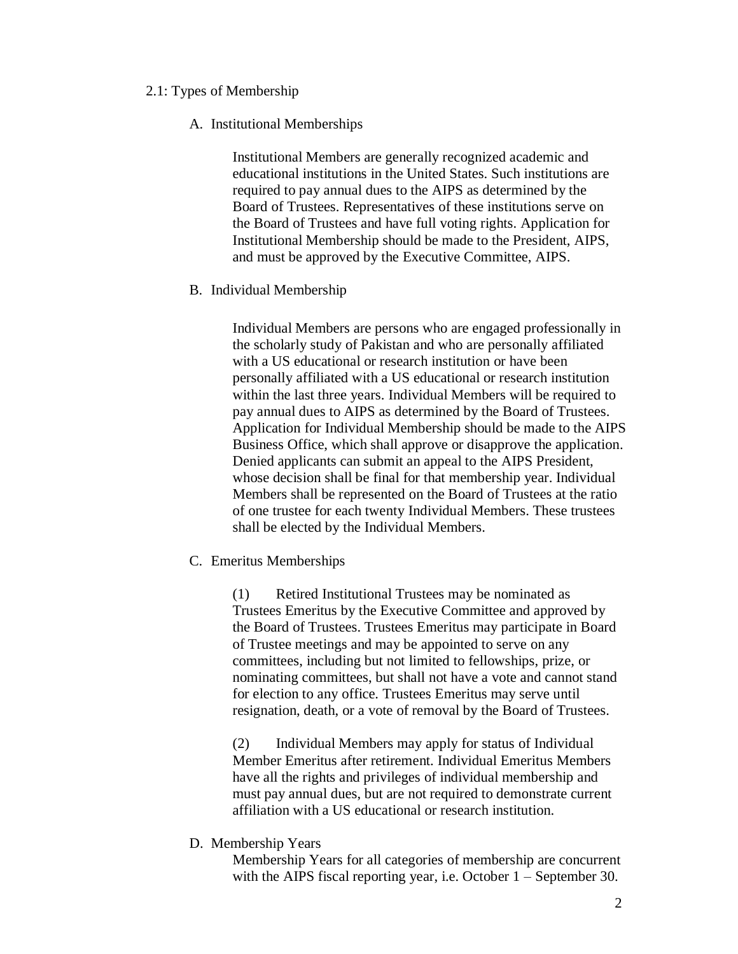## 2.1: Types of Membership

### A. Institutional Memberships

Institutional Members are generally recognized academic and educational institutions in the United States. Such institutions are required to pay annual dues to the AIPS as determined by the Board of Trustees. Representatives of these institutions serve on the Board of Trustees and have full voting rights. Application for Institutional Membership should be made to the President, AIPS, and must be approved by the Executive Committee, AIPS.

## B. Individual Membership

Individual Members are persons who are engaged professionally in the scholarly study of Pakistan and who are personally affiliated with a US educational or research institution or have been personally affiliated with a US educational or research institution within the last three years. Individual Members will be required to pay annual dues to AIPS as determined by the Board of Trustees. Application for Individual Membership should be made to the AIPS Business Office, which shall approve or disapprove the application. Denied applicants can submit an appeal to the AIPS President, whose decision shall be final for that membership year. Individual Members shall be represented on the Board of Trustees at the ratio of one trustee for each twenty Individual Members. These trustees shall be elected by the Individual Members.

# C. Emeritus Memberships

(1) Retired Institutional Trustees may be nominated as Trustees Emeritus by the Executive Committee and approved by the Board of Trustees. Trustees Emeritus may participate in Board of Trustee meetings and may be appointed to serve on any committees, including but not limited to fellowships, prize, or nominating committees, but shall not have a vote and cannot stand for election to any office. Trustees Emeritus may serve until resignation, death, or a vote of removal by the Board of Trustees.

(2) Individual Members may apply for status of Individual Member Emeritus after retirement. Individual Emeritus Members have all the rights and privileges of individual membership and must pay annual dues, but are not required to demonstrate current affiliation with a US educational or research institution.

### D. Membership Years

Membership Years for all categories of membership are concurrent with the AIPS fiscal reporting year, i.e. October 1 – September 30.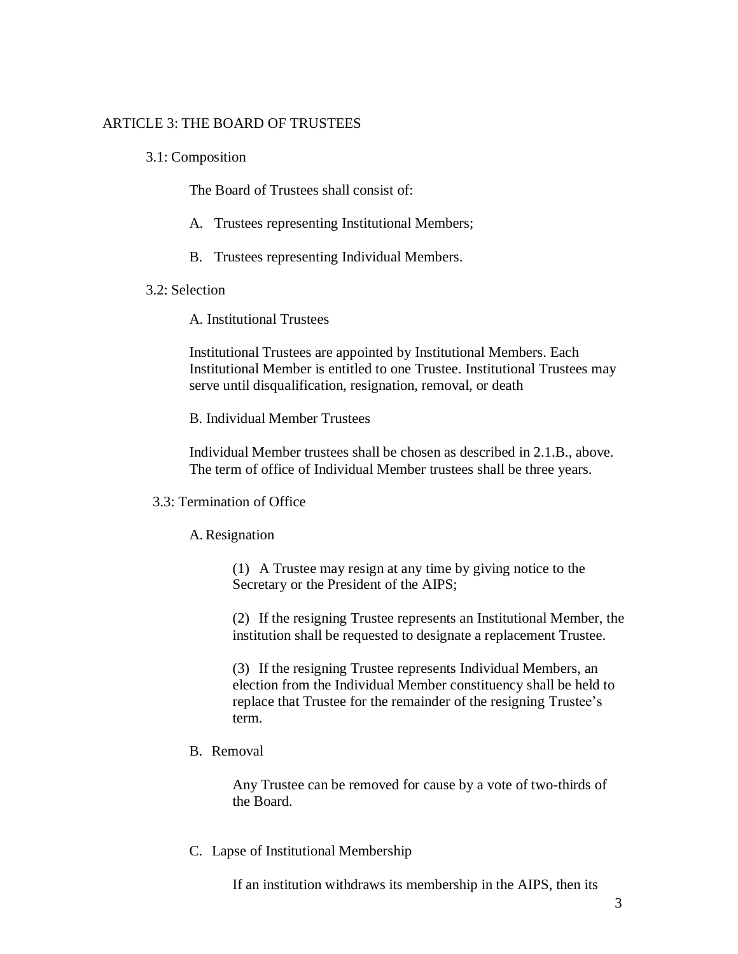## ARTICLE 3: THE BOARD OF TRUSTEES

3.1: Composition

The Board of Trustees shall consist of:

- A. Trustees representing Institutional Members;
- B. Trustees representing Individual Members.

#### 3.2: Selection

A. Institutional Trustees

Institutional Trustees are appointed by Institutional Members. Each Institutional Member is entitled to one Trustee. Institutional Trustees may serve until disqualification, resignation, removal, or death

B. Individual Member Trustees

Individual Member trustees shall be chosen as described in 2.1.B., above. The term of office of Individual Member trustees shall be three years.

#### 3.3: Termination of Office

## A.Resignation

(1) A Trustee may resign at any time by giving notice to the Secretary or the President of the AIPS;

(2) If the resigning Trustee represents an Institutional Member, the institution shall be requested to designate a replacement Trustee.

(3) If the resigning Trustee represents Individual Members, an election from the Individual Member constituency shall be held to replace that Trustee for the remainder of the resigning Trustee's term.

## B. Removal

Any Trustee can be removed for cause by a vote of two-thirds of the Board.

## C. Lapse of Institutional Membership

If an institution withdraws its membership in the AIPS, then its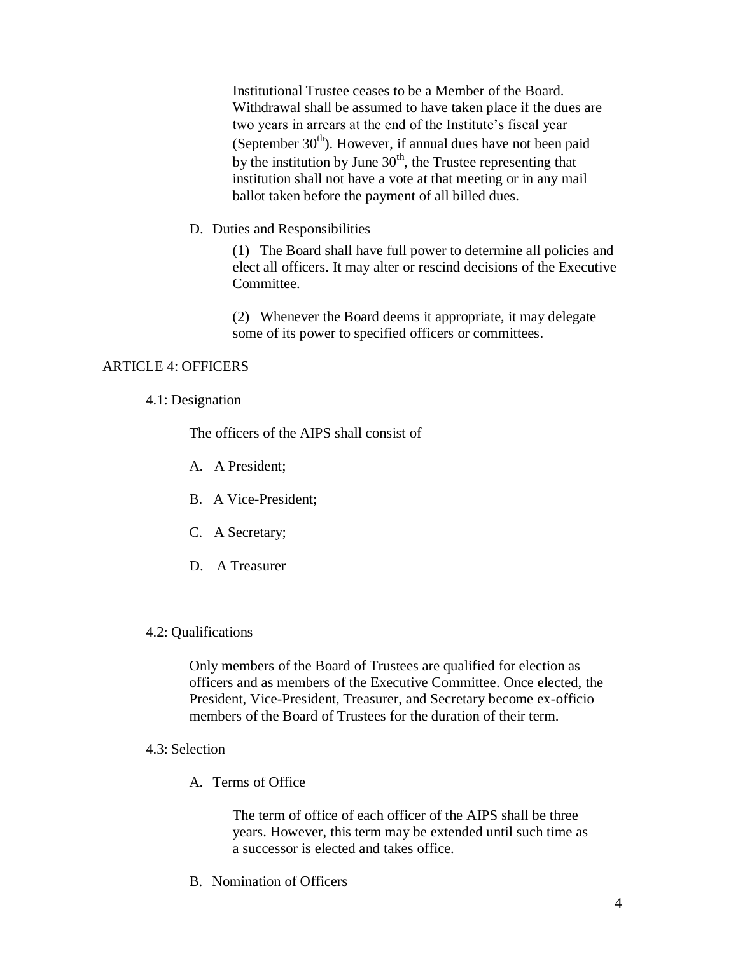Institutional Trustee ceases to be a Member of the Board. Withdrawal shall be assumed to have taken place if the dues are two years in arrears at the end of the Institute's fiscal year (September  $30<sup>th</sup>$ ). However, if annual dues have not been paid by the institution by June  $30<sup>th</sup>$ , the Trustee representing that institution shall not have a vote at that meeting or in any mail ballot taken before the payment of all billed dues.

D. Duties and Responsibilities

(1) The Board shall have full power to determine all policies and elect all officers. It may alter or rescind decisions of the Executive Committee.

(2) Whenever the Board deems it appropriate, it may delegate some of its power to specified officers or committees.

## ARTICLE 4: OFFICERS

### 4.1: Designation

The officers of the AIPS shall consist of

- A. A President;
- B. A Vice-President;
- C. A Secretary;
- D. A Treasurer
- 4.2: Qualifications

Only members of the Board of Trustees are qualified for election as officers and as members of the Executive Committee. Once elected, the President, Vice-President, Treasurer, and Secretary become ex-officio members of the Board of Trustees for the duration of their term.

- 4.3: Selection
	- A. Terms of Office

The term of office of each officer of the AIPS shall be three years. However, this term may be extended until such time as a successor is elected and takes office.

B. Nomination of Officers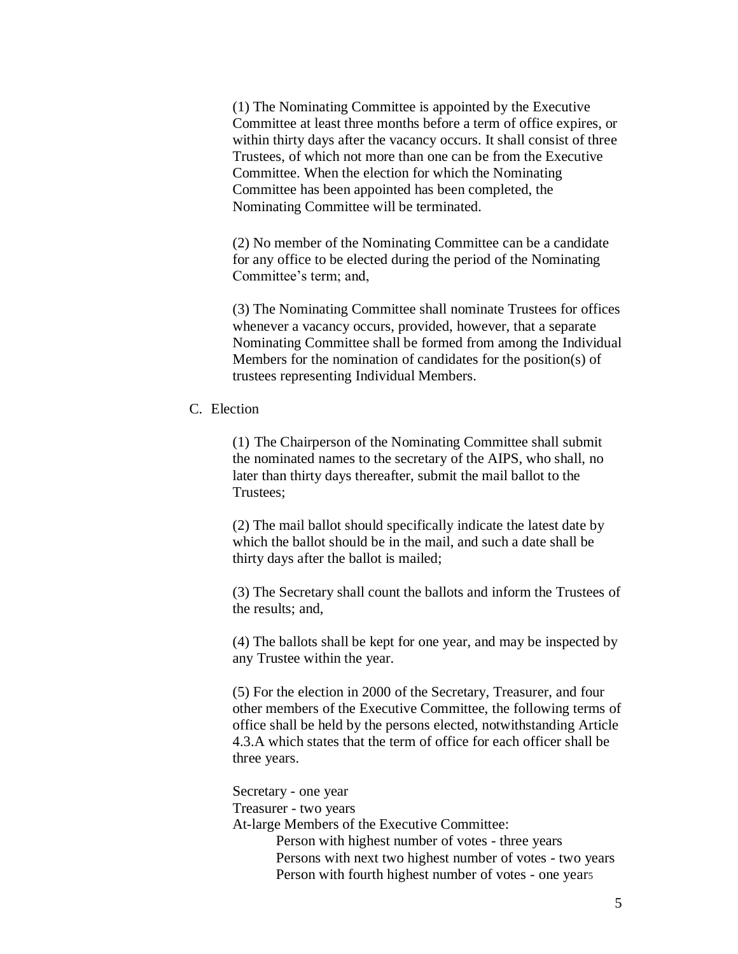(1) The Nominating Committee is appointed by the Executive Committee at least three months before a term of office expires, or within thirty days after the vacancy occurs. It shall consist of three Trustees, of which not more than one can be from the Executive Committee. When the election for which the Nominating Committee has been appointed has been completed, the Nominating Committee will be terminated.

(2) No member of the Nominating Committee can be a candidate for any office to be elected during the period of the Nominating Committee's term; and,

(3) The Nominating Committee shall nominate Trustees for offices whenever a vacancy occurs, provided, however, that a separate Nominating Committee shall be formed from among the Individual Members for the nomination of candidates for the position(s) of trustees representing Individual Members.

C. Election

(1) The Chairperson of the Nominating Committee shall submit the nominated names to the secretary of the AIPS, who shall, no later than thirty days thereafter, submit the mail ballot to the Trustees;

(2) The mail ballot should specifically indicate the latest date by which the ballot should be in the mail, and such a date shall be thirty days after the ballot is mailed;

(3) The Secretary shall count the ballots and inform the Trustees of the results; and,

(4) The ballots shall be kept for one year, and may be inspected by any Trustee within the year.

(5) For the election in 2000 of the Secretary, Treasurer, and four other members of the Executive Committee, the following terms of office shall be held by the persons elected, notwithstanding Article 4.3.A which states that the term of office for each officer shall be three years.

Secretary - one year

Treasurer - two years

At-large Members of the Executive Committee:

Person with highest number of votes - three years Persons with next two highest number of votes - two years Person with fourth highest number of votes - one year<sup>5</sup>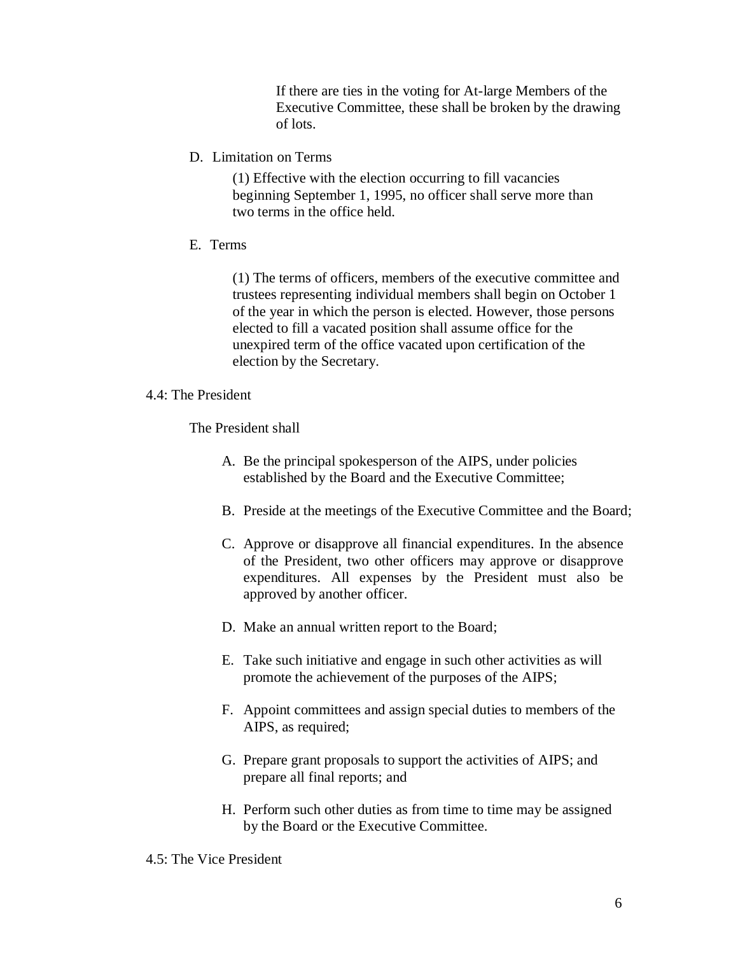If there are ties in the voting for At-large Members of the Executive Committee, these shall be broken by the drawing of lots.

D. Limitation on Terms

(1) Effective with the election occurring to fill vacancies beginning September 1, 1995, no officer shall serve more than two terms in the office held.

E. Terms

(1) The terms of officers, members of the executive committee and trustees representing individual members shall begin on October 1 of the year in which the person is elected. However, those persons elected to fill a vacated position shall assume office for the unexpired term of the office vacated upon certification of the election by the Secretary.

## 4.4: The President

The President shall

- A. Be the principal spokesperson of the AIPS, under policies established by the Board and the Executive Committee;
- B. Preside at the meetings of the Executive Committee and the Board;
- C. Approve or disapprove all financial expenditures. In the absence of the President, two other officers may approve or disapprove expenditures. All expenses by the President must also be approved by another officer.
- D. Make an annual written report to the Board;
- E. Take such initiative and engage in such other activities as will promote the achievement of the purposes of the AIPS;
- F. Appoint committees and assign special duties to members of the AIPS, as required;
- G. Prepare grant proposals to support the activities of AIPS; and prepare all final reports; and
- H. Perform such other duties as from time to time may be assigned by the Board or the Executive Committee.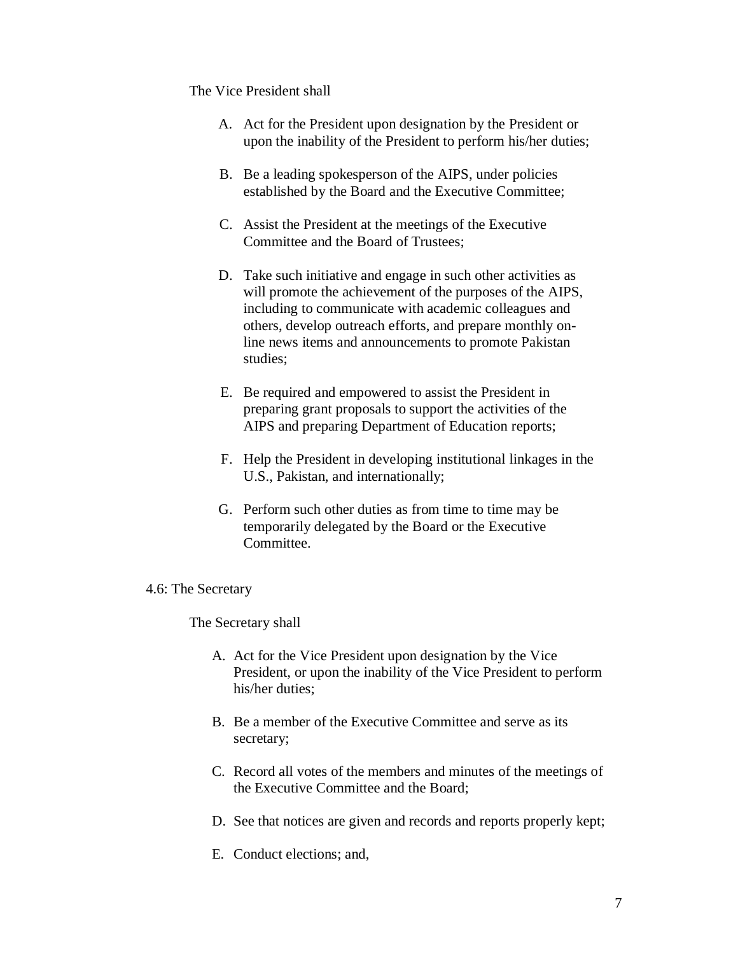## The Vice President shall

- A. Act for the President upon designation by the President or upon the inability of the President to perform his/her duties;
- B. Be a leading spokesperson of the AIPS, under policies established by the Board and the Executive Committee;
- C. Assist the President at the meetings of the Executive Committee and the Board of Trustees;
- D. Take such initiative and engage in such other activities as will promote the achievement of the purposes of the AIPS, including to communicate with academic colleagues and others, develop outreach efforts, and prepare monthly online news items and announcements to promote Pakistan studies;
- E. Be required and empowered to assist the President in preparing grant proposals to support the activities of the AIPS and preparing Department of Education reports;
- F. Help the President in developing institutional linkages in the U.S., Pakistan, and internationally;
- G. Perform such other duties as from time to time may be temporarily delegated by the Board or the Executive Committee.

### 4.6: The Secretary

The Secretary shall

- A. Act for the Vice President upon designation by the Vice President, or upon the inability of the Vice President to perform his/her duties;
- B. Be a member of the Executive Committee and serve as its secretary;
- C. Record all votes of the members and minutes of the meetings of the Executive Committee and the Board;
- D. See that notices are given and records and reports properly kept;
- E. Conduct elections; and,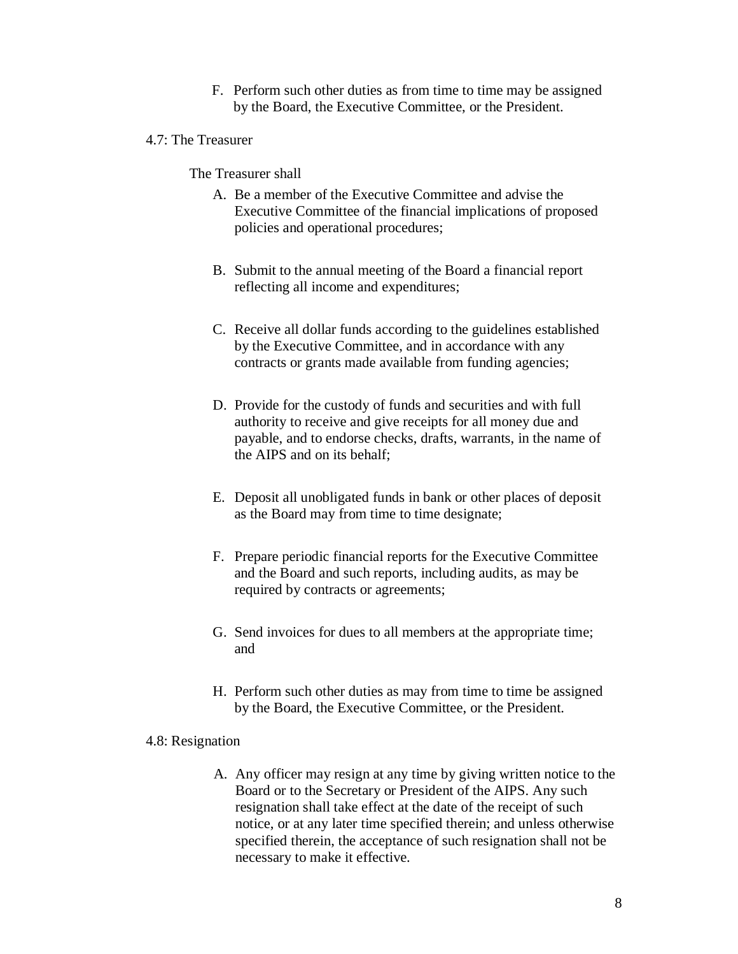F. Perform such other duties as from time to time may be assigned by the Board, the Executive Committee, or the President.

# 4.7: The Treasurer

The Treasurer shall

- A. Be a member of the Executive Committee and advise the Executive Committee of the financial implications of proposed policies and operational procedures;
- B. Submit to the annual meeting of the Board a financial report reflecting all income and expenditures;
- C. Receive all dollar funds according to the guidelines established by the Executive Committee, and in accordance with any contracts or grants made available from funding agencies;
- D. Provide for the custody of funds and securities and with full authority to receive and give receipts for all money due and payable, and to endorse checks, drafts, warrants, in the name of the AIPS and on its behalf;
- E. Deposit all unobligated funds in bank or other places of deposit as the Board may from time to time designate;
- F. Prepare periodic financial reports for the Executive Committee and the Board and such reports, including audits, as may be required by contracts or agreements;
- G. Send invoices for dues to all members at the appropriate time; and
- H. Perform such other duties as may from time to time be assigned by the Board, the Executive Committee, or the President.

#### 4.8: Resignation

A. Any officer may resign at any time by giving written notice to the Board or to the Secretary or President of the AIPS. Any such resignation shall take effect at the date of the receipt of such notice, or at any later time specified therein; and unless otherwise specified therein, the acceptance of such resignation shall not be necessary to make it effective.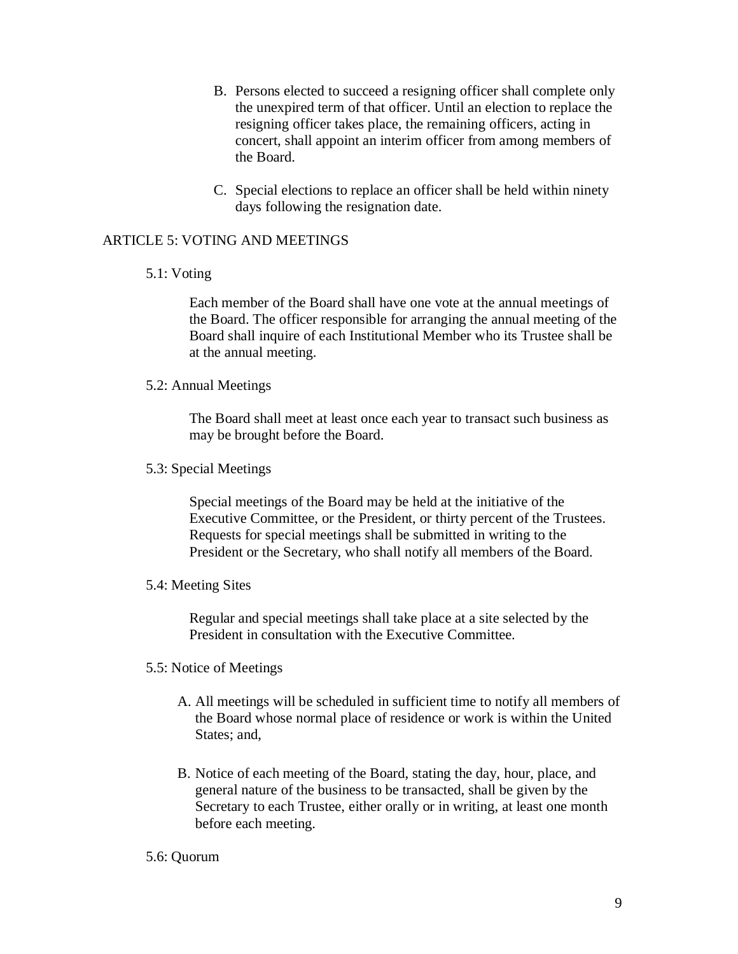- B. Persons elected to succeed a resigning officer shall complete only the unexpired term of that officer. Until an election to replace the resigning officer takes place, the remaining officers, acting in concert, shall appoint an interim officer from among members of the Board.
- C. Special elections to replace an officer shall be held within ninety days following the resignation date.

# ARTICLE 5: VOTING AND MEETINGS

### 5.1: Voting

Each member of the Board shall have one vote at the annual meetings of the Board. The officer responsible for arranging the annual meeting of the Board shall inquire of each Institutional Member who its Trustee shall be at the annual meeting.

### 5.2: Annual Meetings

The Board shall meet at least once each year to transact such business as may be brought before the Board.

## 5.3: Special Meetings

Special meetings of the Board may be held at the initiative of the Executive Committee, or the President, or thirty percent of the Trustees. Requests for special meetings shall be submitted in writing to the President or the Secretary, who shall notify all members of the Board.

### 5.4: Meeting Sites

Regular and special meetings shall take place at a site selected by the President in consultation with the Executive Committee.

# 5.5: Notice of Meetings

- A. All meetings will be scheduled in sufficient time to notify all members of the Board whose normal place of residence or work is within the United States: and.
- B. Notice of each meeting of the Board, stating the day, hour, place, and general nature of the business to be transacted, shall be given by the Secretary to each Trustee, either orally or in writing, at least one month before each meeting.

### 5.6: Quorum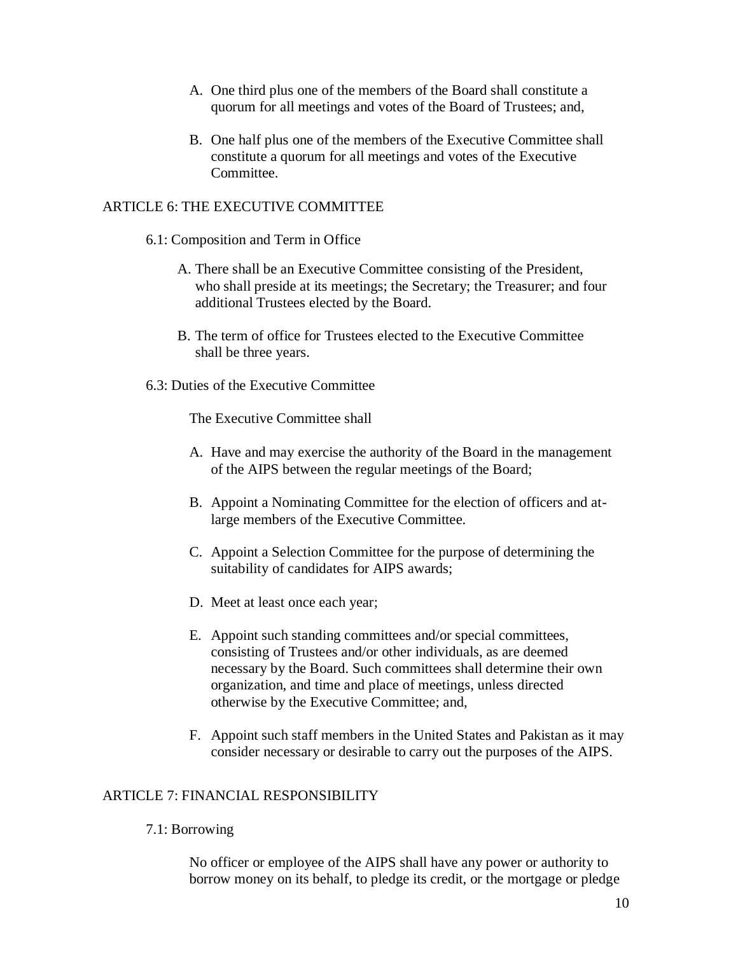- A. One third plus one of the members of the Board shall constitute a quorum for all meetings and votes of the Board of Trustees; and,
- B. One half plus one of the members of the Executive Committee shall constitute a quorum for all meetings and votes of the Executive Committee.

# ARTICLE 6: THE EXECUTIVE COMMITTEE

## 6.1: Composition and Term in Office

- A. There shall be an Executive Committee consisting of the President, who shall preside at its meetings; the Secretary; the Treasurer; and four additional Trustees elected by the Board.
- B. The term of office for Trustees elected to the Executive Committee shall be three years.
- 6.3: Duties of the Executive Committee

The Executive Committee shall

- A. Have and may exercise the authority of the Board in the management of the AIPS between the regular meetings of the Board;
- B. Appoint a Nominating Committee for the election of officers and atlarge members of the Executive Committee.
- C. Appoint a Selection Committee for the purpose of determining the suitability of candidates for AIPS awards;
- D. Meet at least once each year;
- E. Appoint such standing committees and/or special committees, consisting of Trustees and/or other individuals, as are deemed necessary by the Board. Such committees shall determine their own organization, and time and place of meetings, unless directed otherwise by the Executive Committee; and,
- F. Appoint such staff members in the United States and Pakistan as it may consider necessary or desirable to carry out the purposes of the AIPS.

# ARTICLE 7: FINANCIAL RESPONSIBILITY

# 7.1: Borrowing

No officer or employee of the AIPS shall have any power or authority to borrow money on its behalf, to pledge its credit, or the mortgage or pledge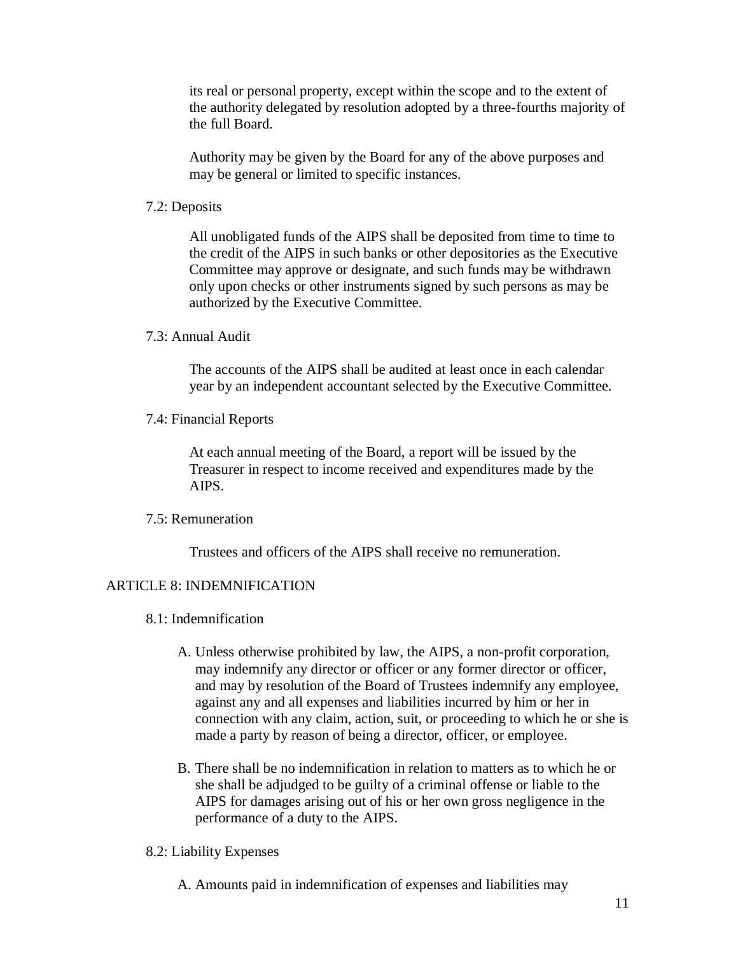its real or personal property, except within the scope and to the extent of the authority delegated by resolution adopted by a three-fourths majority of the full Board.

Authority may be given by the Board for any of the above purposes and may be general or limited to specific instances.

7.2: Deposits

All unobligated funds of the AIPS shall be deposited from time to time to the credit of the AIPS in such banks or other depositories as the Executive Committee may approve or designate, and such funds may be withdrawn only upon checks or other instruments signed by such persons as may be authorized by the Executive Committee.

7.3: Annual Audit

The accounts of the AIPS shall be audited at least once in each calendar year by an independent accountant selected by the Executive Committee.

7.4: Financial Reports

At each annual meeting of the Board, a report will be issued by the Treasurer in respect to income received and expenditures made by the AIPS.

## 7.5: Remuneration

Trustees and officers of the AIPS shall receive no remuneration.

### ARTICLE 8: INDEMNIFICATION

- 8.1: Indemnification
	- A. Unless otherwise prohibited by law, the AIPS, a non-profit corporation, may indemnify any director or officer or any former director or officer, and may by resolution of the Board of Trustees indemnify any employee, against any and all expenses and liabilities incurred by him or her in connection with any claim, action, suit, or proceeding to which he or she is made a party by reason of being a director, officer, or employee.
	- B. There shall be no indemnification in relation to matters as to which he or she shall be adjudged to be guilty of a criminal offense or liable to the AIPS for damages arising out of his or her own gross negligence in the performance of a duty to the AIPS.

#### 8.2: Liability Expenses

A. Amounts paid in indemnification of expenses and liabilities may